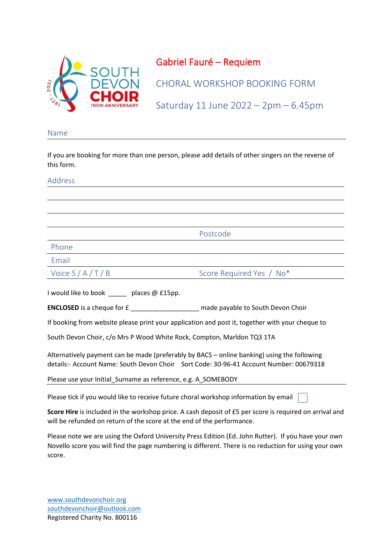

## Gabriel Fauré – Requiem

CHORAL WORKSHOP BOOKING FORM

Saturday 11 June 2022 – 2pm – 6.45pm

## Name

If you are booking for more than one person, please add details of other singers on the reverse of this form.

## Address

Postcode

Phone

Email

Voice S / A / T / B Score Required Yes / No\*

I would like to book endiaces @ £15pp.

**ENCLOSED** is a cheque for £ **EXECUSED** made payable to South Devon Choir

If booking from website please print your application and post it, together with your cheque to

South Devon Choir, c/o Mrs P Wood White Rock, Compton, Marldon TQ3 1TA

Alternatively payment can be made (preferably by BACS – online banking) using the following details:- Account Name: South Devon Choir Sort Code: 30-96-41 Account Number: 00679318

Please use your Initial\_Surname as reference, e.g. A\_SOMEBODY

Please tick if you would like to receive future choral workshop information by email

**Score Hire** is included in the workshop price. A cash deposit of £5 per score is required on arrival and will be refunded on return of the score at the end of the performance.

Please note we are using the Oxford University Press Edition (Ed. John Rutter). If you have your own Novello score you will find the page numbering is different. There is no reduction for using your own score.